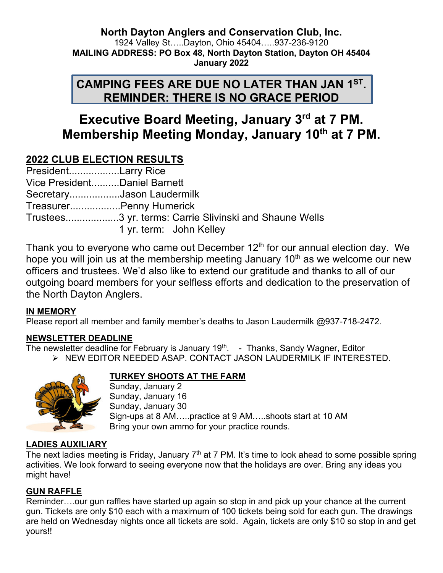**North Dayton Anglers and Conservation Club, Inc.** 1924 Valley St…..Dayton, Ohio 45404…..937-236-9120 **MAILING ADDRESS: PO Box 48, North Dayton Station, Dayton OH 45404 January 2022**

# **CAMPING FEES ARE DUE NO LATER THAN JAN 1ST. REMINDER: THERE IS NO GRACE PERIOD**

# **Executive Board Meeting, January 3rd at 7 PM. Membership Meeting Monday, January 10th at 7 PM.**

## **2022 CLUB ELECTION RESULTS**

| PresidentLarry Rice          |                           |
|------------------------------|---------------------------|
| Vice PresidentDaniel Barnett |                           |
|                              | SecretaryJason Laudermilk |
|                              | TreasurerPenny Humerick   |
|                              |                           |
|                              | 1 yr. term: John Kelley   |

Thank you to everyone who came out December  $12<sup>th</sup>$  for our annual election day. We hope you will join us at the membership meeting January  $10<sup>th</sup>$  as we welcome our new officers and trustees. We'd also like to extend our gratitude and thanks to all of our outgoing board members for your selfless efforts and dedication to the preservation of the North Dayton Anglers.

#### **IN MEMORY**

Please report all member and family member's deaths to Jason Laudermilk @937-718-2472.

## **NEWSLETTER DEADLINE**

The newsletter deadline for February is January 19<sup>th</sup>. - Thanks, Sandy Wagner, Editor Ø NEW EDITOR NEEDED ASAP. CONTACT JASON LAUDERMILK IF INTERESTED.



#### **TURKEY SHOOTS AT THE FARM**

Sunday, January 2 Sunday, January 16 Sunday, January 30 Sign-ups at 8 AM…..practice at 9 AM…..shoots start at 10 AM Bring your own ammo for your practice rounds.

## **LADIES AUXILIARY**

The next ladies meeting is Friday, January  $7<sup>th</sup>$  at 7 PM. It's time to look ahead to some possible spring activities. We look forward to seeing everyone now that the holidays are over. Bring any ideas you might have!

## **GUN RAFFLE**

Reminder….our gun raffles have started up again so stop in and pick up your chance at the current gun. Tickets are only \$10 each with a maximum of 100 tickets being sold for each gun. The drawings are held on Wednesday nights once all tickets are sold. Again, tickets are only \$10 so stop in and get yours!!